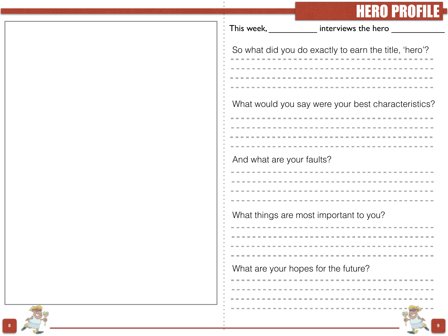## **HERO PROFILE**

|                           | 11<br>$\blacksquare$                                  |
|---------------------------|-------------------------------------------------------|
| This week,                | interviews the hero                                   |
|                           |                                                       |
|                           | So what did you do exactly to earn the title, 'hero'? |
|                           |                                                       |
|                           |                                                       |
|                           |                                                       |
|                           |                                                       |
|                           | What would you say were your best characteristics?    |
|                           |                                                       |
|                           |                                                       |
|                           |                                                       |
|                           |                                                       |
|                           |                                                       |
| And what are your faults? |                                                       |
|                           |                                                       |
|                           |                                                       |
|                           |                                                       |
|                           |                                                       |
|                           | What things are most important to you?                |
|                           |                                                       |
|                           |                                                       |
|                           |                                                       |
|                           |                                                       |
|                           | What are your hopes for the future?                   |
|                           |                                                       |
|                           |                                                       |
|                           |                                                       |
|                           |                                                       |
|                           |                                                       |